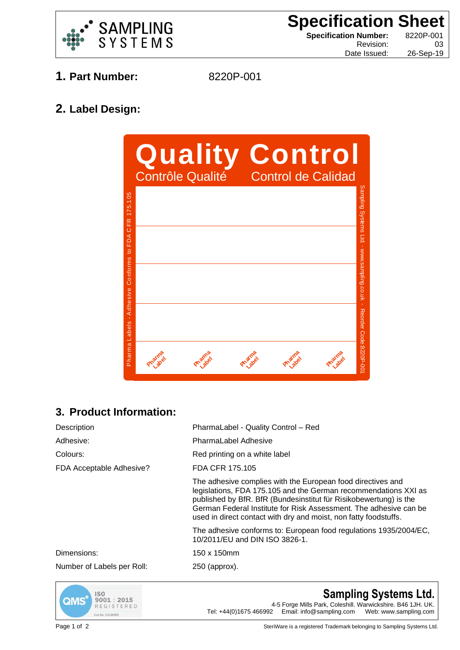

**Specification Sheet Specification Number:** 8220P-001 Revision: 03

Date Issued: 26-Sep-19

- **1. Part Number:** 8220P-001
	-

**2. Label Design:**



## **3. Product Information:**

| Description                | PharmaLabel - Quality Control - Red                                                                                                                                                                                                                                                                                                          |
|----------------------------|----------------------------------------------------------------------------------------------------------------------------------------------------------------------------------------------------------------------------------------------------------------------------------------------------------------------------------------------|
| Adhesive:                  | <b>PharmaLabel Adhesive</b>                                                                                                                                                                                                                                                                                                                  |
| Colours:                   | Red printing on a white label                                                                                                                                                                                                                                                                                                                |
| FDA Acceptable Adhesive?   | FDA CFR 175.105                                                                                                                                                                                                                                                                                                                              |
|                            | The adhesive complies with the European food directives and<br>legislations, FDA 175.105 and the German recommendations XXI as<br>published by BfR. BfR (Bundesinstitut für Risikobewertung) is the<br>German Federal Institute for Risk Assessment. The adhesive can be<br>used in direct contact with dry and moist, non fatty foodstuffs. |
|                            | The adhesive conforms to: European food regulations 1935/2004/EC,<br>10/2011/EU and DIN ISO 3826-1.                                                                                                                                                                                                                                          |
| Dimensions:                | 150 x 150mm                                                                                                                                                                                                                                                                                                                                  |
| Number of Labels per Roll: | 250 (approx).                                                                                                                                                                                                                                                                                                                                |
|                            |                                                                                                                                                                                                                                                                                                                                              |



**Sampling Systems Ltd.** 4-5 Forge Mills Park, Coleshill. Warwickshire. B46 1JH. UK. Tel: +44(0)1675 466992 Email: info@sampling.com Web: www.sampling.com